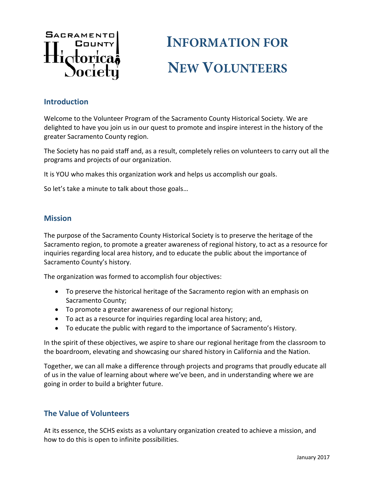

# **INFORMATION FOR NEW VOLUNTEERS**

#### **Introduction**

Welcome to the Volunteer Program of the Sacramento County Historical Society. We are delighted to have you join us in our quest to promote and inspire interest in the history of the greater Sacramento County region.

The Society has no paid staff and, as a result, completely relies on volunteers to carry out all the programs and projects of our organization.

It is YOU who makes this organization work and helps us accomplish our goals.

So let's take a minute to talk about those goals…

#### **Mission**

The purpose of the Sacramento County Historical Society is to preserve the heritage of the Sacramento region, to promote a greater awareness of regional history, to act as a resource for inquiries regarding local area history, and to educate the public about the importance of Sacramento County's history.

The organization was formed to accomplish four objectives:

- To preserve the historical heritage of the Sacramento region with an emphasis on Sacramento County;
- To promote a greater awareness of our regional history;
- To act as a resource for inquiries regarding local area history; and,
- To educate the public with regard to the importance of Sacramento's History.

In the spirit of these objectives, we aspire to share our regional heritage from the classroom to the boardroom, elevating and showcasing our shared history in California and the Nation.

Together, we can all make a difference through projects and programs that proudly educate all of us in the value of learning about where we've been, and in understanding where we are going in order to build a brighter future.

#### **The Value of Volunteers**

At its essence, the SCHS exists as a voluntary organization created to achieve a mission, and how to do this is open to infinite possibilities.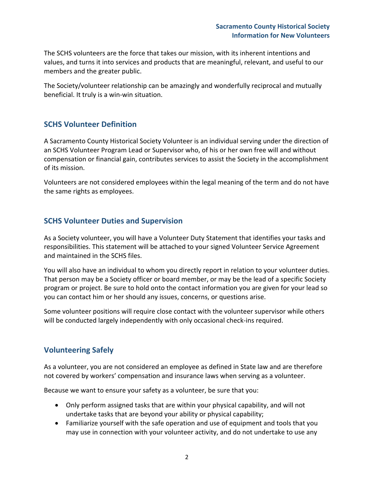The SCHS volunteers are the force that takes our mission, with its inherent intentions and values, and turns it into services and products that are meaningful, relevant, and useful to our members and the greater public.

The Society/volunteer relationship can be amazingly and wonderfully reciprocal and mutually beneficial. It truly is a win‐win situation.

## **SCHS Volunteer Definition**

A Sacramento County Historical Society Volunteer is an individual serving under the direction of an SCHS Volunteer Program Lead or Supervisor who, of his or her own free will and without compensation or financial gain, contributes services to assist the Society in the accomplishment of its mission.

Volunteers are not considered employees within the legal meaning of the term and do not have the same rights as employees.

## **SCHS Volunteer Duties and Supervision**

As a Society volunteer, you will have a Volunteer Duty Statement that identifies your tasks and responsibilities. This statement will be attached to your signed Volunteer Service Agreement and maintained in the SCHS files.

You will also have an individual to whom you directly report in relation to your volunteer duties. That person may be a Society officer or board member, or may be the lead of a specific Society program or project. Be sure to hold onto the contact information you are given for your lead so you can contact him or her should any issues, concerns, or questions arise.

Some volunteer positions will require close contact with the volunteer supervisor while others will be conducted largely independently with only occasional check-ins required.

## **Volunteering Safely**

As a volunteer, you are not considered an employee as defined in State law and are therefore not covered by workers' compensation and insurance laws when serving as a volunteer.

Because we want to ensure your safety as a volunteer, be sure that you:

- Only perform assigned tasks that are within your physical capability, and will not undertake tasks that are beyond your ability or physical capability;
- Familiarize yourself with the safe operation and use of equipment and tools that you may use in connection with your volunteer activity, and do not undertake to use any